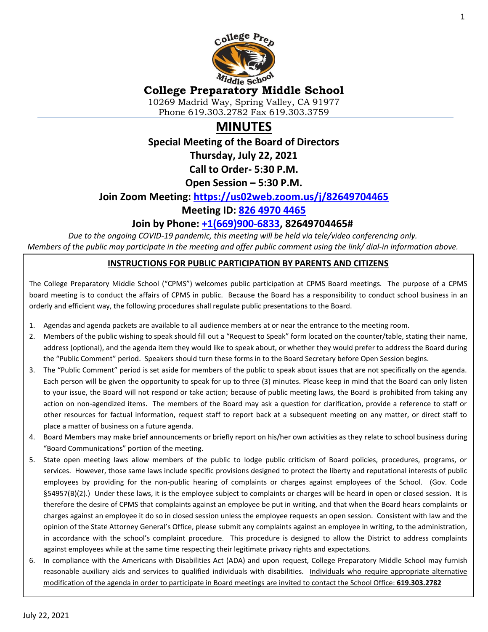

# **College Preparatory Middle School**

10269 Madrid Way, Spring Valley, CA 91977 Phone 619.303.2782 Fax 619.303.3759

# **MINUTES**

**Special Meeting of the Board of Directors**

**Thursday, July 22, 2021**

**Call to Order- 5:30 P.M.**

**Open Session – 5:30 P.M.**

#### **Join Zoom Meeting: <https://us02web.zoom.us/j/82649704465>**

#### **Meeting ID: [826 4970 4465](tel:826%204970%204465)**

#### **Join by Phone: [+1\(669\)900-6833,](tel:+16699006833) 82649704465#**

*Due to the ongoing COVID-19 pandemic, this meeting will be held via tele/video conferencing only. Members of the public may participate in the meeting and offer public comment using the link/ dial-in information above.*

#### **INSTRUCTIONS FOR PUBLIC PARTICIPATION BY PARENTS AND CITIZENS**

The College Preparatory Middle School ("CPMS") welcomes public participation at CPMS Board meetings. The purpose of a CPMS board meeting is to conduct the affairs of CPMS in public. Because the Board has a responsibility to conduct school business in an orderly and efficient way, the following procedures shall regulate public presentations to the Board.

- 1. Agendas and agenda packets are available to all audience members at or near the entrance to the meeting room.
- 2. Members of the public wishing to speak should fill out a "Request to Speak" form located on the counter/table, stating their name, address (optional), and the agenda item they would like to speak about, or whether they would prefer to address the Board during the "Public Comment" period. Speakers should turn these forms in to the Board Secretary before Open Session begins.
- 3. The "Public Comment" period is set aside for members of the public to speak about issues that are not specifically on the agenda. Each person will be given the opportunity to speak for up to three (3) minutes. Please keep in mind that the Board can only listen to your issue, the Board will not respond or take action; because of public meeting laws, the Board is prohibited from taking any action on non-agendized items. The members of the Board may ask a question for clarification, provide a reference to staff or other resources for factual information, request staff to report back at a subsequent meeting on any matter, or direct staff to place a matter of business on a future agenda.
- 4. Board Members may make brief announcements or briefly report on his/her own activities as they relate to school business during "Board Communications" portion of the meeting.
- 5. State open meeting laws allow members of the public to lodge public criticism of Board policies, procedures, programs, or services. However, those same laws include specific provisions designed to protect the liberty and reputational interests of public employees by providing for the non-public hearing of complaints or charges against employees of the School. (Gov. Code §54957(B)(2).) Under these laws, it is the employee subject to complaints or charges will be heard in open or closed session. It is therefore the desire of CPMS that complaints against an employee be put in writing, and that when the Board hears complaints or charges against an employee it do so in closed session unless the employee requests an open session. Consistent with law and the opinion of the State Attorney General's Office, please submit any complaints against an employee in writing, to the administration, in accordance with the school's complaint procedure. This procedure is designed to allow the District to address complaints against employees while at the same time respecting their legitimate privacy rights and expectations.
- 6. In compliance with the Americans with Disabilities Act (ADA) and upon request, College Preparatory Middle School may furnish reasonable auxiliary aids and services to qualified individuals with disabilities. Individuals who require appropriate alternative modification of the agenda in order to participate in Board meetings are invited to contact the School Office: **619.303.2782**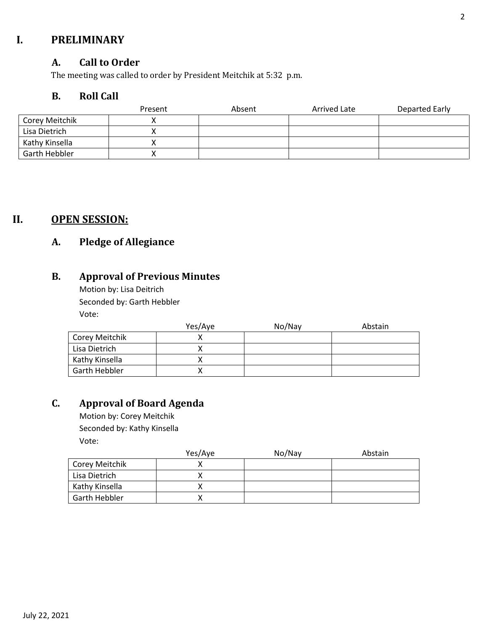## **I. PRELIMINARY**

#### **A. Call to Order**

The meeting was called to order by President Meitchik at 5:32 p.m.

#### **B. Roll Call**

|                | Present | Absent | Arrived Late | Departed Early |
|----------------|---------|--------|--------------|----------------|
| Corey Meitchik |         |        |              |                |
| Lisa Dietrich  |         |        |              |                |
| Kathy Kinsella |         |        |              |                |
| Garth Hebbler  |         |        |              |                |

## **II. OPEN SESSION:**

## **A. Pledge of Allegiance**

## **B. Approval of Previous Minutes**

Motion by: Lisa Deitrich Seconded by: Garth Hebbler Vote:

|                | Yes/Aye | No/Nay | Abstain |
|----------------|---------|--------|---------|
| Corey Meitchik |         |        |         |
| Lisa Dietrich  |         |        |         |
| Kathy Kinsella |         |        |         |
| Garth Hebbler  |         |        |         |

## **C. Approval of Board Agenda**

Motion by: Corey Meitchik Seconded by: Kathy Kinsella Vote:

|                | Yes/Aye | No/Nay | Abstain |
|----------------|---------|--------|---------|
| Corey Meitchik |         |        |         |
| Lisa Dietrich  |         |        |         |
| Kathy Kinsella |         |        |         |
| Garth Hebbler  |         |        |         |

July 22, 2021